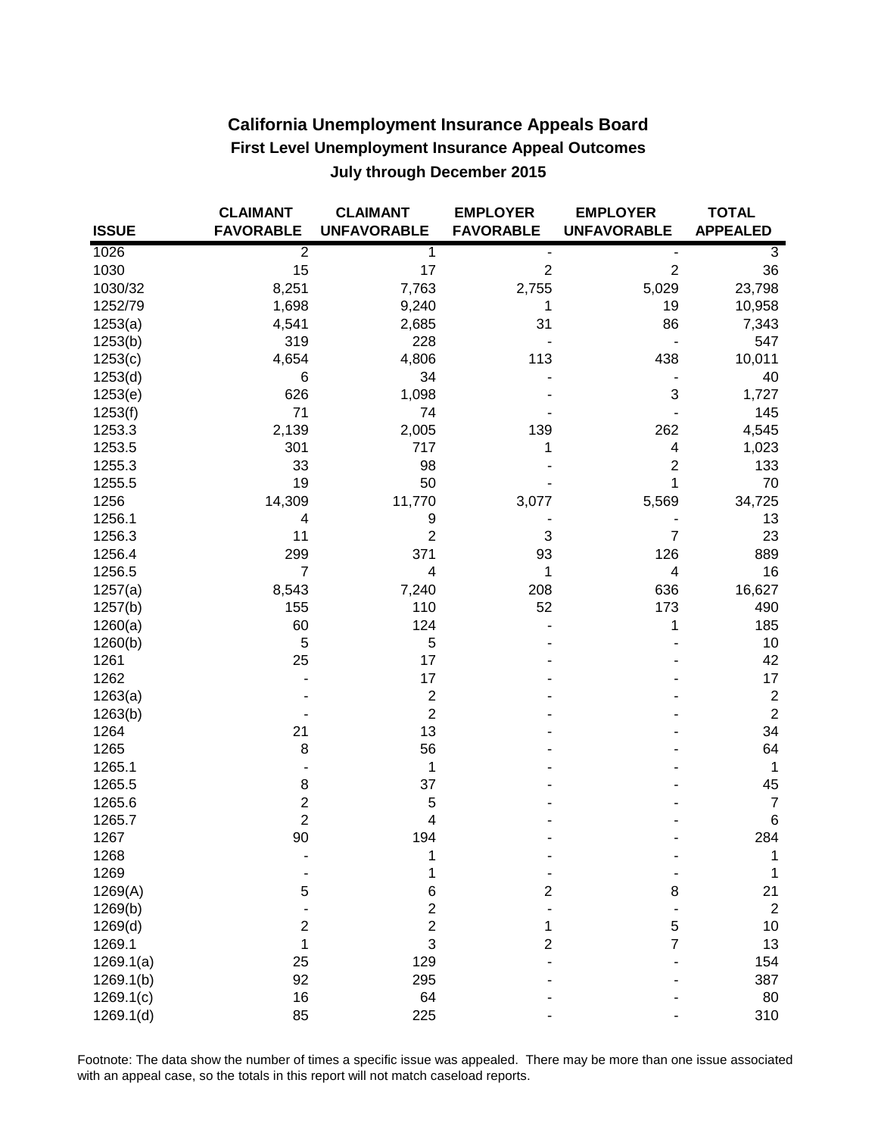| <b>California Unemployment Insurance Appeals Board</b>    |
|-----------------------------------------------------------|
| <b>First Level Unemployment Insurance Appeal Outcomes</b> |
| July through December 2015                                |

|              | <b>CLAIMANT</b>  | <b>CLAIMANT</b>    | <b>EMPLOYER</b>  | <b>EMPLOYER</b>           | <b>TOTAL</b>    |
|--------------|------------------|--------------------|------------------|---------------------------|-----------------|
| <b>ISSUE</b> | <b>FAVORABLE</b> | <b>UNFAVORABLE</b> | <b>FAVORABLE</b> | <b>UNFAVORABLE</b>        | <b>APPEALED</b> |
| 1026         | $\overline{2}$   | $\mathbf{1}$       |                  |                           | 3               |
| 1030         | 15               | 17                 | $\overline{2}$   | $\overline{c}$            | 36              |
| 1030/32      | 8,251            | 7,763              | 2,755            | 5,029                     | 23,798          |
| 1252/79      | 1,698            | 9,240              | 1                | 19                        | 10,958          |
| 1253(a)      | 4,541            | 2,685              | 31               | 86                        | 7,343           |
| 1253(b)      | 319              | 228                |                  |                           | 547             |
| 1253(c)      | 4,654            | 4,806              | 113              | 438                       | 10,011          |
| 1253(d)      | 6                | 34                 |                  |                           | 40              |
| 1253(e)      | 626              | 1,098              |                  | $\ensuremath{\mathsf{3}}$ | 1,727           |
| 1253(f)      | 71               | 74                 |                  |                           | 145             |
| 1253.3       | 2,139            | 2,005              | 139              | 262                       | 4,545           |
| 1253.5       | 301              | 717                | 1                | 4                         | 1,023           |
| 1255.3       | 33               | 98                 |                  | $\overline{c}$            | 133             |
| 1255.5       | 19               | 50                 |                  | 1                         | 70              |
| 1256         | 14,309           | 11,770             | 3,077            | 5,569                     | 34,725          |
| 1256.1       | 4                | 9                  |                  |                           | 13              |
| 1256.3       | 11               | $\overline{2}$     | 3                | $\overline{7}$            | 23              |
| 1256.4       | 299              | 371                | 93               | 126                       | 889             |
| 1256.5       | $\overline{7}$   | $\overline{4}$     | 1                | 4                         | 16              |
| 1257(a)      | 8,543            | 7,240              | 208              | 636                       | 16,627          |
| 1257(b)      | 155              | 110                | 52               | 173                       | 490             |
| 1260(a)      | 60               | 124                |                  | 1                         | 185             |
| 1260(b)      | 5                | 5                  |                  |                           | 10              |
| 1261         | 25               | 17                 |                  |                           | 42              |
| 1262         |                  | 17                 |                  |                           | 17              |
| 1263(a)      |                  | $\mathbf 2$        |                  |                           | $\overline{c}$  |
| 1263(b)      |                  | $\overline{2}$     |                  |                           | $\sqrt{2}$      |
| 1264         | 21               | 13                 |                  |                           | 34              |
| 1265         | 8                | 56                 |                  |                           | 64              |
| 1265.1       |                  | 1                  |                  |                           | 1               |
| 1265.5       | 8                | 37                 |                  |                           | 45              |
| 1265.6       | $\boldsymbol{2}$ | 5                  |                  |                           | $\overline{7}$  |
| 1265.7       | $\overline{2}$   | 4                  |                  |                           | 6               |
| 1267         | 90               | 194                |                  |                           | 284             |
| 1268         |                  | 1                  |                  |                           | 1               |
| 1269         |                  | 1                  |                  |                           | 1               |
| 1269(A)      | 5                | 6                  | $\overline{2}$   | 8                         | 21              |
| 1269(b)      |                  | $\overline{2}$     |                  |                           | $\overline{2}$  |
| 1269(d)      | $\overline{2}$   | $\overline{c}$     | 1                | 5                         | 10              |
| 1269.1       | 1                | 3                  | $\overline{2}$   | $\overline{7}$            | 13              |
| 1269.1(a)    | 25               | 129                |                  |                           | 154             |
| 1269.1(b)    | 92               | 295                |                  |                           | 387             |
| 1269.1(c)    | 16               | 64                 |                  |                           | 80              |
| 1269.1(d)    | 85               | 225                |                  |                           | 310             |

Footnote: The data show the number of times a specific issue was appealed. There may be more than one issue associated with an appeal case, so the totals in this report will not match caseload reports.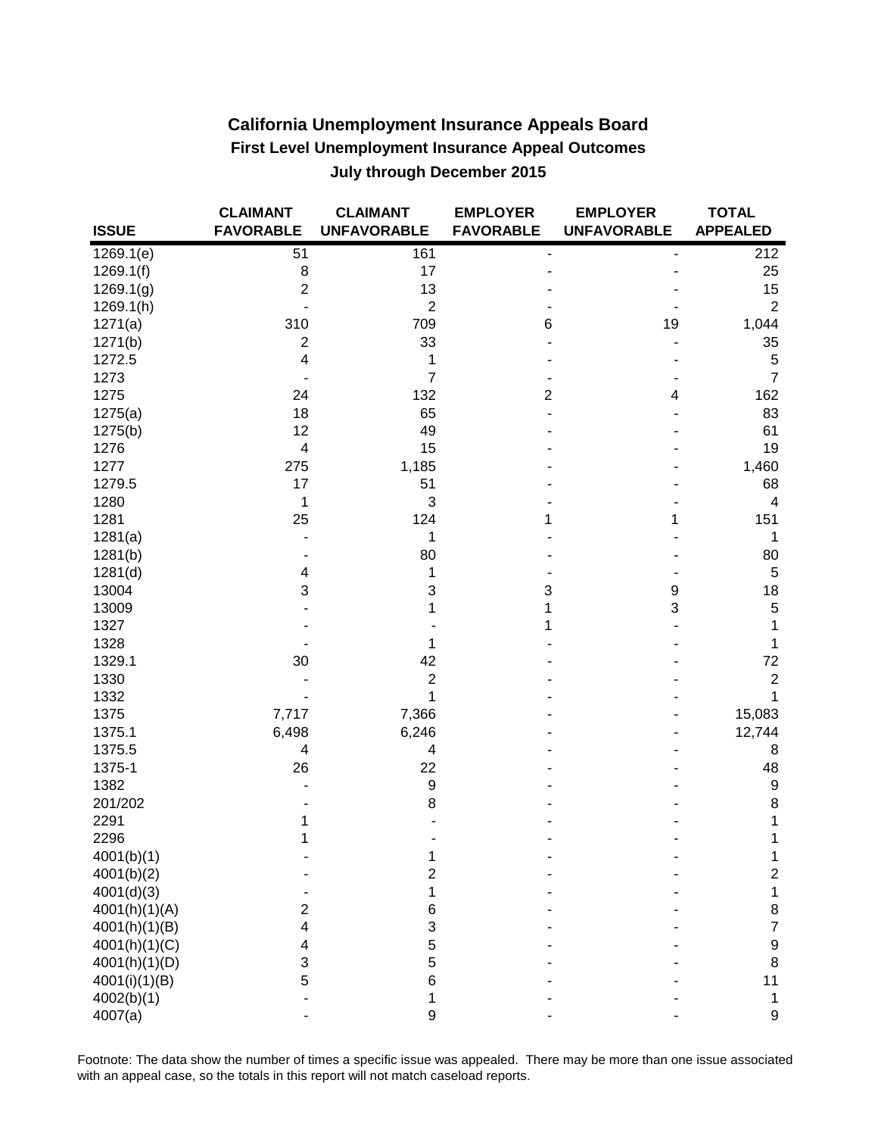| <b>California Unemployment Insurance Appeals Board</b>    |  |
|-----------------------------------------------------------|--|
| <b>First Level Unemployment Insurance Appeal Outcomes</b> |  |
| July through December 2015                                |  |

|               | <b>CLAIMANT</b>          | <b>CLAIMANT</b>    | <b>EMPLOYER</b>              | <b>EMPLOYER</b>    | <b>TOTAL</b>     |
|---------------|--------------------------|--------------------|------------------------------|--------------------|------------------|
| <b>ISSUE</b>  | <b>FAVORABLE</b>         | <b>UNFAVORABLE</b> | <b>FAVORABLE</b>             | <b>UNFAVORABLE</b> | <b>APPEALED</b>  |
| 1269.1(e)     | 51                       | 161                | $\qquad \qquad \blacksquare$ |                    | 212              |
| 1269.1(f)     | $\,8\,$                  | 17                 |                              |                    | 25               |
| 1269.1(g)     | $\overline{2}$           | 13                 |                              |                    | 15               |
| 1269.1(h)     |                          | $\overline{2}$     |                              |                    | $\overline{2}$   |
| 1271(a)       | 310                      | 709                | 6                            | 19                 | 1,044            |
| 1271(b)       | $\overline{\mathbf{c}}$  | 33                 |                              |                    | 35               |
| 1272.5        | $\overline{\mathbf{4}}$  | 1                  |                              |                    | 5                |
| 1273          |                          | $\overline{7}$     |                              |                    | $\overline{7}$   |
| 1275          | 24                       | 132                | $\overline{c}$               | 4                  | 162              |
| 1275(a)       | 18                       | 65                 |                              |                    | 83               |
| 1275(b)       | 12                       | 49                 |                              |                    | 61               |
| 1276          | $\overline{\mathcal{A}}$ | 15                 |                              |                    | 19               |
| 1277          | 275                      | 1,185              |                              |                    | 1,460            |
| 1279.5        | 17                       | 51                 |                              |                    | 68               |
| 1280          | 1                        | 3                  |                              |                    | 4                |
| 1281          | 25                       | 124                | 1                            | 1                  | 151              |
| 1281(a)       |                          | 1                  |                              |                    | 1                |
| 1281(b)       |                          | 80                 |                              |                    | 80               |
| 1281(d)       | $\overline{\mathcal{A}}$ | 1                  |                              |                    | $\sqrt{5}$       |
| 13004         | 3                        | 3                  | 3                            | 9                  | 18               |
| 13009         |                          | 1                  | 1                            | 3                  | 5                |
| 1327          |                          |                    | 1                            |                    | 1                |
| 1328          |                          | 1                  |                              |                    | 1                |
| 1329.1        | 30                       | 42                 |                              |                    | 72               |
| 1330          |                          | $\mathbf 2$        |                              |                    | $\boldsymbol{2}$ |
| 1332          |                          | 1                  |                              |                    | 1                |
| 1375          | 7,717                    | 7,366              |                              |                    | 15,083           |
| 1375.1        | 6,498                    | 6,246              |                              |                    | 12,744           |
| 1375.5        | 4                        | 4                  |                              |                    | 8                |
| 1375-1        | 26                       | 22                 |                              |                    | 48               |
| 1382          |                          | $\boldsymbol{9}$   |                              |                    | 9                |
| 201/202       |                          | 8                  |                              |                    | 8                |
| 2291          | 1                        |                    |                              |                    | 1                |
| 2296          | 1                        |                    |                              |                    | 1                |
| 4001(b)(1)    |                          | 1                  |                              |                    | 1                |
| 4001(b)(2)    |                          | $\overline{2}$     |                              |                    | $\overline{2}$   |
| 4001(d)(3)    |                          | 1                  |                              |                    | 1                |
| 4001(h)(1)(A) | 2                        | 6                  |                              |                    | 8                |
| 4001(h)(1)(B) | $\overline{\mathbf{4}}$  | 3                  |                              |                    | 7                |
| 4001(h)(1)(C) | 4                        | 5                  |                              |                    | 9                |
| 4001(h)(1)(D) | 3                        | 5                  |                              |                    | 8                |
| 4001(i)(1)(B) | 5                        | 6                  |                              |                    | 11               |
| 4002(b)(1)    |                          | 1                  |                              |                    | 1                |
| 4007(a)       |                          | 9                  |                              |                    | 9                |

Footnote: The data show the number of times a specific issue was appealed. There may be more than one issue associated with an appeal case, so the totals in this report will not match caseload reports.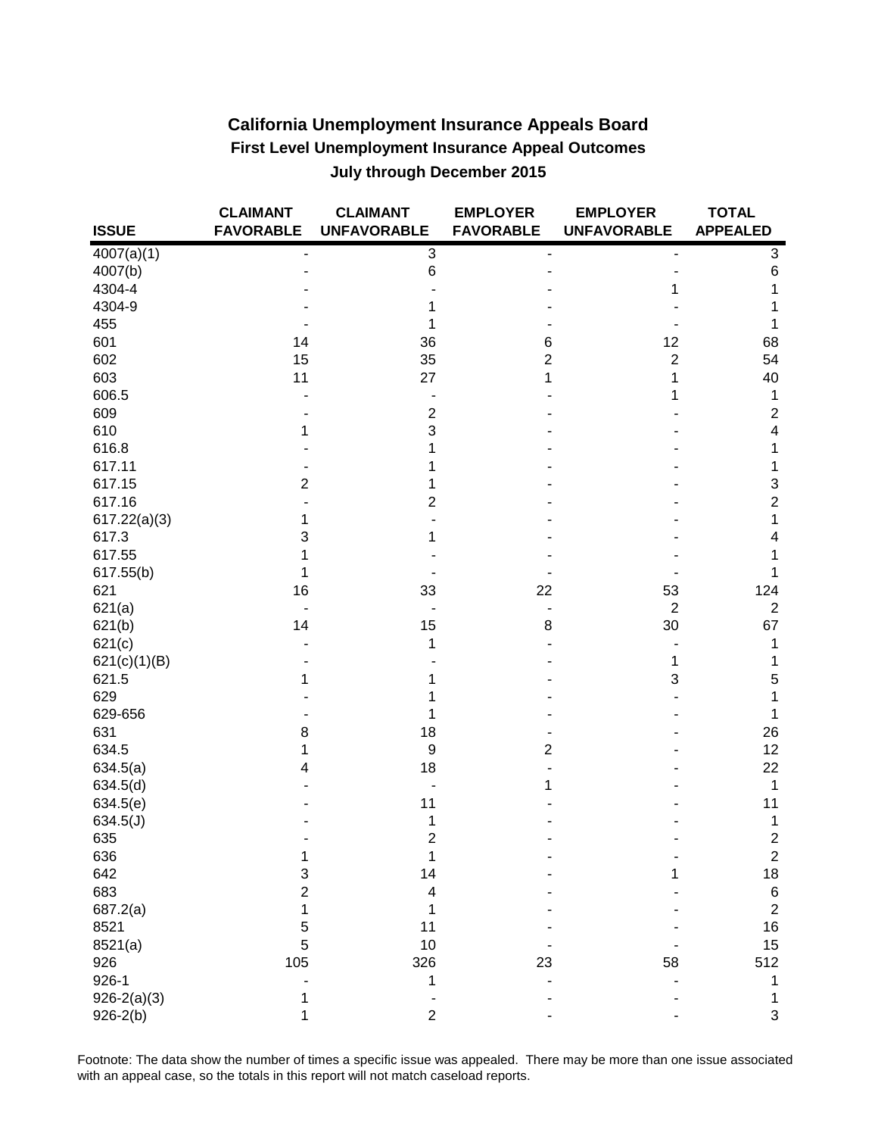## **California Unemployment Insurance Appeals Board First Level Unemployment Insurance Appeal Outcomes July through December 2015**

|                 | <b>CLAIMANT</b>  | <b>CLAIMANT</b>         | <b>EMPLOYER</b>  | <b>EMPLOYER</b>    | <b>TOTAL</b>     |
|-----------------|------------------|-------------------------|------------------|--------------------|------------------|
| <b>ISSUE</b>    | <b>FAVORABLE</b> | <b>UNFAVORABLE</b>      | <b>FAVORABLE</b> | <b>UNFAVORABLE</b> | <b>APPEALED</b>  |
| 4007(a)(1)      |                  | 3                       |                  |                    | 3                |
| 4007(b)         |                  | 6                       |                  |                    | 6                |
| 4304-4          |                  |                         |                  |                    | 1                |
| 4304-9          |                  |                         |                  |                    |                  |
| 455             |                  |                         |                  |                    | 1                |
| 601             | 14               | 36                      | 6                | 12                 | 68               |
| 602             | 15               | 35                      | $\overline{2}$   | $\overline{2}$     | 54               |
| 603             | 11               | 27                      | 1                | 1                  | 40               |
| 606.5           |                  |                         |                  |                    | 1                |
| 609             |                  | $\overline{c}$          |                  |                    | $\boldsymbol{2}$ |
| 610             | 1                | 3                       |                  |                    | 4                |
| 616.8           |                  |                         |                  |                    | 1                |
| 617.11          |                  |                         |                  |                    | 1                |
| 617.15          | $\overline{2}$   |                         |                  |                    | 3                |
| 617.16          |                  | 2                       |                  |                    | $\overline{c}$   |
| 617.22(a)(3)    | 1                |                         |                  |                    | 1                |
| 617.3           | 3                |                         |                  |                    | 4                |
| 617.55          | 1                |                         |                  |                    |                  |
| 617.55(b)       | 1                |                         |                  |                    | 1                |
| 621             | 16               | 33                      | 22               | 53                 | 124              |
| 621(a)          |                  |                         |                  | $\overline{2}$     | $\overline{c}$   |
| 621(b)          | 14               | 15                      | 8                | 30                 | 67               |
| 621(c)          |                  | 1                       |                  |                    | 1                |
| 621(c)(1)(B)    |                  |                         |                  | 1                  | 1                |
| 621.5           | 1                |                         |                  | 3                  | 5                |
| 629             |                  |                         |                  |                    |                  |
| 629-656         |                  |                         |                  |                    | 1                |
| 631             | 8                | 18                      |                  |                    | 26               |
| 634.5           | 1                | 9                       | 2                |                    | 12               |
| 634.5(a)        | 4                | 18                      |                  |                    | 22               |
| 634.5(d)        |                  |                         | 1                |                    | 1                |
| 634.5(e)        |                  | 11                      |                  |                    | 11               |
| 634.5(J)        |                  | 1                       |                  |                    | 1                |
| 635             |                  | 2                       |                  |                    | $\boldsymbol{2}$ |
| 636             | 1                | 1                       |                  |                    | $\overline{c}$   |
| 642             | 3                | 14                      |                  |                    | 18               |
| 683             | $\overline{2}$   | $\overline{\mathbf{4}}$ |                  |                    | 6                |
| 687.2(a)        | 1                |                         |                  |                    | $\overline{c}$   |
| 8521            | 5                | 11                      |                  |                    | 16               |
| 8521(a)         | 5                | 10                      |                  |                    | 15               |
| 926             | 105              | 326                     | 23               | 58                 | 512              |
| $926 - 1$       |                  | 1                       |                  |                    | 1                |
| $926 - 2(a)(3)$ | 1                |                         |                  |                    | 1                |
| $926 - 2(b)$    | 1                | 2                       |                  |                    | 3                |
|                 |                  |                         |                  |                    |                  |

Footnote: The data show the number of times a specific issue was appealed. There may be more than one issue associated with an appeal case, so the totals in this report will not match caseload reports.